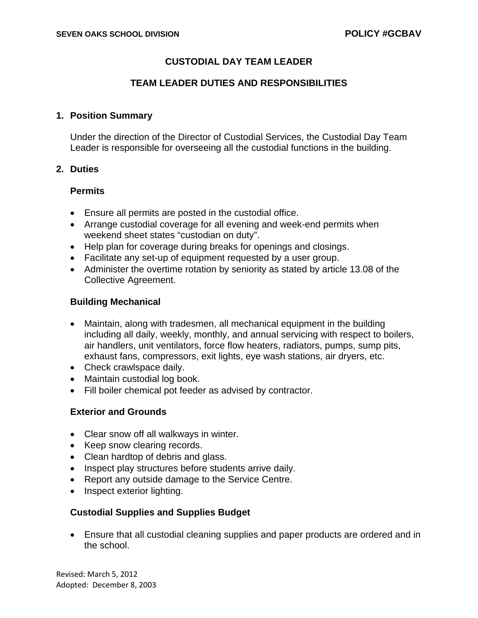# **CUSTODIAL DAY TEAM LEADER**

## **TEAM LEADER DUTIES AND RESPONSIBILITIES**

#### **1. Position Summary**

Under the direction of the Director of Custodial Services, the Custodial Day Team Leader is responsible for overseeing all the custodial functions in the building.

## **2. Duties**

#### **Permits**

- Ensure all permits are posted in the custodial office.
- Arrange custodial coverage for all evening and week-end permits when weekend sheet states "custodian on duty".
- Help plan for coverage during breaks for openings and closings.
- Facilitate any set-up of equipment requested by a user group.
- Administer the overtime rotation by seniority as stated by article 13.08 of the Collective Agreement.

#### **Building Mechanical**

- Maintain, along with tradesmen, all mechanical equipment in the building including all daily, weekly, monthly, and annual servicing with respect to boilers, air handlers, unit ventilators, force flow heaters, radiators, pumps, sump pits, exhaust fans, compressors, exit lights, eye wash stations, air dryers, etc.
- Check crawlspace daily.
- Maintain custodial log book.
- Fill boiler chemical pot feeder as advised by contractor.

## **Exterior and Grounds**

- Clear snow off all walkways in winter.
- Keep snow clearing records.
- Clean hardtop of debris and glass.
- Inspect play structures before students arrive daily.
- Report any outside damage to the Service Centre.
- Inspect exterior lighting.

## **Custodial Supplies and Supplies Budget**

• Ensure that all custodial cleaning supplies and paper products are ordered and in the school.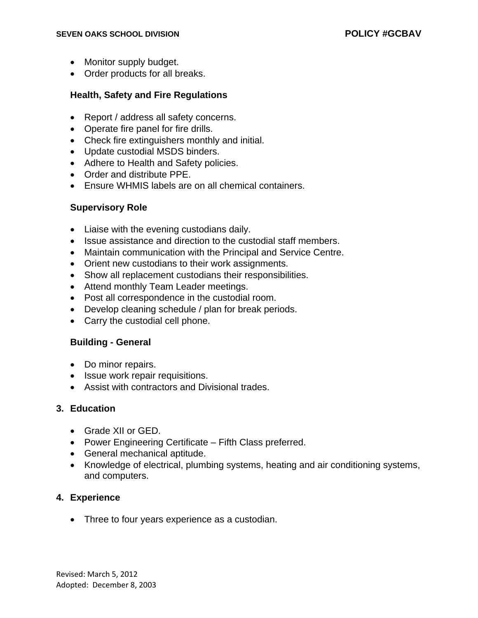- Monitor supply budget.
- Order products for all breaks.

#### **Health, Safety and Fire Regulations**

- Report / address all safety concerns.
- Operate fire panel for fire drills.
- Check fire extinguishers monthly and initial.
- Update custodial MSDS binders.
- Adhere to Health and Safety policies.
- Order and distribute PPE.
- Ensure WHMIS labels are on all chemical containers.

#### **Supervisory Role**

- Liaise with the evening custodians daily.
- Issue assistance and direction to the custodial staff members.
- Maintain communication with the Principal and Service Centre.
- Orient new custodians to their work assignments.
- Show all replacement custodians their responsibilities.
- Attend monthly Team Leader meetings.
- Post all correspondence in the custodial room.
- Develop cleaning schedule / plan for break periods.
- Carry the custodial cell phone.

#### **Building - General**

- Do minor repairs.
- Issue work repair requisitions.
- Assist with contractors and Divisional trades.

## **3. Education**

- Grade XII or GED.
- Power Engineering Certificate Fifth Class preferred.
- General mechanical aptitude.
- Knowledge of electrical, plumbing systems, heating and air conditioning systems, and computers.

## **4. Experience**

• Three to four years experience as a custodian.